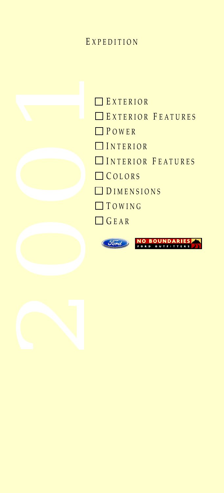## E XPEDITION





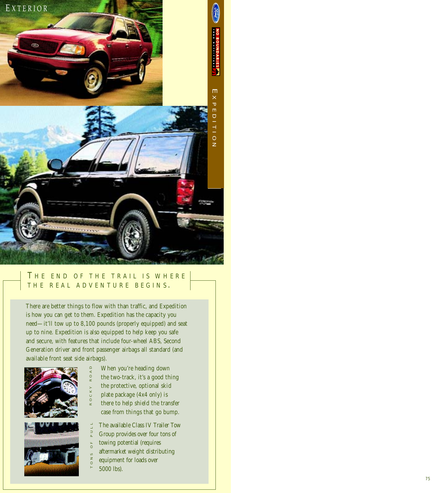<span id="page-1-0"></span>

#### T HE END OF THE TRAIL IS WHERE THE REAL ADVENTURE BEGINS.

There are better things to flow with than traffic, and Expedition is how you can get to them. Expedition has the capacity you need—it'll tow up to 8,100 pounds (properly equipped) and seat up to nine. Expedition is also equipped to help keep you safe and secure, with features that include four-wheel ABS, Second Generation driver and front passenger airbags all standard (and available front seat side airbags).



- When you're heading down ROCKY ROAD
	- the two-track, it's a good thing
	- the protective, optional skid
	- plate package (4x4 only) is
	- there to help shield the transfer case from things that go bump.
	- The available Class IV Trailer Tow
- Group provides over four tons of TONS OF PULL
- towing potential (requires  $\overline{0}$
- aftermarket weight distributing  $0 N S$ 
	- equipment for loads over
- 5000 lbs).

R O C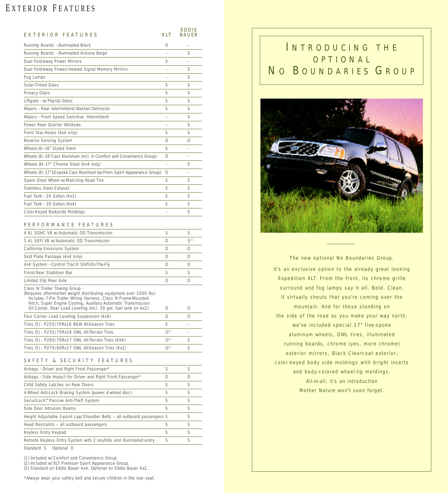# <span id="page-2-0"></span>EXTERIOR FEATURES

| EXTERIOR FEATURES                                                                                                                                                                                                                                                                                           | XLT       | <b>EDDIE</b><br><b>BAUER</b> |
|-------------------------------------------------------------------------------------------------------------------------------------------------------------------------------------------------------------------------------------------------------------------------------------------------------------|-----------|------------------------------|
| Running Boards - Illuminated Black                                                                                                                                                                                                                                                                          | 0         |                              |
| Running Boards - Illuminated Arizona Beige                                                                                                                                                                                                                                                                  |           | S                            |
| Dual Fold-Away Power Mirrors                                                                                                                                                                                                                                                                                | S         |                              |
| Dual Fold-Away Power/Heated Signal Memory Mirrors                                                                                                                                                                                                                                                           |           | S                            |
| Fog Lamps                                                                                                                                                                                                                                                                                                   |           | S                            |
| Solar-Tinted Glass                                                                                                                                                                                                                                                                                          | S         | S                            |
| Privacy Glass                                                                                                                                                                                                                                                                                               | S         | S                            |
| Liftgate - w/Flip-Up Glass                                                                                                                                                                                                                                                                                  | S         | S                            |
| Wipers - Rear Intermittent/Washer/Defroster                                                                                                                                                                                                                                                                 | S         | S                            |
| Wipers - Front Speed Sensitive, Intermittent                                                                                                                                                                                                                                                                |           | S                            |
| Power Rear Quarter Windows                                                                                                                                                                                                                                                                                  |           | S                            |
| Front Tow Hooks (4x4 only)                                                                                                                                                                                                                                                                                  | S         | S                            |
| Reverse Sensing System                                                                                                                                                                                                                                                                                      | 0         | 0                            |
| Wheels (4) - 16" Styled Steel                                                                                                                                                                                                                                                                               | S         |                              |
| Wheels (4) - 16" Cast Aluminum (incl. in Comfort and Convenience Group)                                                                                                                                                                                                                                     | 0         |                              |
| Wheels (4) - 17" Chrome Steel (4x4 only)                                                                                                                                                                                                                                                                    |           | S                            |
| Wheels (4) - 17" 10-spoke Cast Aluminum (w/Prem. Sport Appearance Group)                                                                                                                                                                                                                                    | O         |                              |
| Spare Steel Wheel w/Matching Road Tire                                                                                                                                                                                                                                                                      | S         | S                            |
| Stainless Steel Exhaust                                                                                                                                                                                                                                                                                     | S         | S                            |
| Fuel Tank - 26 Gallon (4x2)                                                                                                                                                                                                                                                                                 | S         | S                            |
| Fuel Tank - 30 Gallon (4x4)                                                                                                                                                                                                                                                                                 | S         | S                            |
| Color-Keyed Bodyside Moldings                                                                                                                                                                                                                                                                               |           | S                            |
| <b>FEATURES</b><br>PERFORMANCE                                                                                                                                                                                                                                                                              |           |                              |
| 4.6L SOHC V8 w/Automatic OD Transmission                                                                                                                                                                                                                                                                    | S         | S                            |
| 5.4L SEFI V8 w/Automatic OD Transmission                                                                                                                                                                                                                                                                    | 0         | S <sup>(3)</sup>             |
| California Emissions System                                                                                                                                                                                                                                                                                 | 0         | 0                            |
| Skid Plate Package (4x4 only)                                                                                                                                                                                                                                                                               | 0         | 0                            |
| 4x4 System - Control Trac® Shift-On-The-Fly                                                                                                                                                                                                                                                                 | 0         | 0                            |
| Front/Rear Stabilizer Bar                                                                                                                                                                                                                                                                                   | S         | S                            |
| Limited Slip Rear Axle                                                                                                                                                                                                                                                                                      | 0         | 0                            |
| Class IV Trailer Towing Group -<br>(Requires aftermarket weight distributing equipment over 5000 lbs)<br>Includes 7-Pin Trailer Wiring Harness, Class III Frame-Mounted<br>Hitch, Super Engine Cooling, Auxiliary Automatic Transmission<br>Oil Cooler, Rear Load Leveling (incl. 30 gal. fuel tank on 4x2) | 0         | 0                            |
| Four Corner Load Leveling Suspension (4x4)                                                                                                                                                                                                                                                                  | 0         | 0                            |
| Tires (5) - P255/70Rx16 BSW All-Season Tires                                                                                                                                                                                                                                                                | S         |                              |
| Tires (5) - P255/70Rx16 OWL All-Terrain Tires                                                                                                                                                                                                                                                               | $O^{(1)}$ |                              |
| Tires (5) - P265/70Rx17 OWL All-Terrain Tires (4X4)                                                                                                                                                                                                                                                         | $O^{(2)}$ | S                            |
| Tires (5) - P275/60Rx17 OWL All-Season Tires (4x2)                                                                                                                                                                                                                                                          | $O^{(3)}$ | S                            |
| SAFETY<br>& SECURITY FEATURES                                                                                                                                                                                                                                                                               |           |                              |
| Airbags - Driver and Right Front Passenger*                                                                                                                                                                                                                                                                 | S         | S                            |
| Airbags - Side Impact for Driver and Right Front Passenger*                                                                                                                                                                                                                                                 | 0         | 0                            |
| Child Safety Latches on Rear Doors                                                                                                                                                                                                                                                                          | S         | S                            |
| 4-Wheel Anti-Lock Braking System (power 4-wheel disc)                                                                                                                                                                                                                                                       | S         | S                            |
| SecuriLock™ Passive Anti-Theft System                                                                                                                                                                                                                                                                       | S         | S                            |
| Side Door Intrusion Beams                                                                                                                                                                                                                                                                                   | S         | S                            |
| Height Adjustable 3-point Lap/Shoulder Belts - all outboard passengers S                                                                                                                                                                                                                                    |           | S                            |
| Head Restraints - all outboard passengers                                                                                                                                                                                                                                                                   | S         | S                            |
| Keyless Entry Keypad                                                                                                                                                                                                                                                                                        | S         | S                            |
| Remote Keyless Entry System with 2 keyfobs and illuminated entry                                                                                                                                                                                                                                            | S         | S                            |
| Standard S<br>Optional O                                                                                                                                                                                                                                                                                    |           |                              |

(1) Included w/Comfort and Convenience Group. (2) Included w/XLT Premium Sport Appearance Group. (3) Standard on Eddie Bauer 4x4. Optional on Eddie Bauer 4x2.

\*Always wear your safety belt and secure children in the rear seat.

## I NTRODUCING THE OPTIONAL NO BOUNDARIES GROUP



The new optional No Boundaries Group. It's an exclusive option to the already great looking Expedition XLT. From the front, its chrome grille surround and fog lamps say it all. Bold. Clean. It virtually shouts that you're coming over the mountain. And for those standing on the side of the road as you make your way north, we've included special 17" five-spoke aluminum wheels, OWL tires, illuminated running boards, chrome (yes, more chrome) exterior mirrors, Black Clearcoat exterior, color-keyed body side moldings with bright inserts and body-colored wheel-lip moldings. All-in-all, it's an introduction Mother Nature won't soon forget.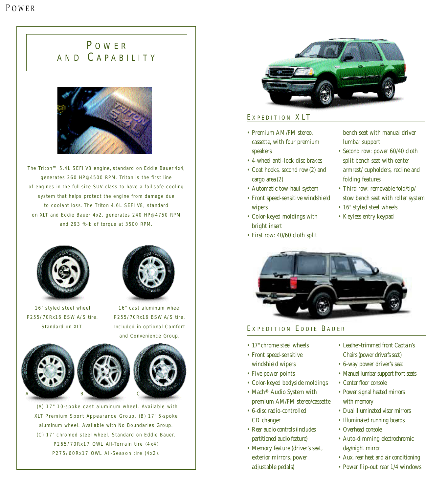# <span id="page-3-0"></span>P OWER AND C APABILITY



The Triton™ 5.4L SEFI V8 engine, standard on Eddie Bauer 4x4, generates 260 HP@4500 RPM. Triton is the first line of engines in the full-size SUV class to have a fail-safe cooling system that helps protect the engine from damage due to coolant loss. The Triton 4.6L SEFI V8, standard on XLT and Eddie Bauer 4x2, generates 240 HP@4750 RPM and 293 ft-lb of torque at 3500 RPM.



16" styled steel wheel P255/70Rx16 BSW A/S tire. Standard on XLT.



16" cast aluminum wheel P255/70Rx16 BSW A/S tire. Included in optional Comfort and Convenience Group.





- (A) 17" 10-spoke cast aluminum wheel. Available with XLT Premium Sport Appearance Group. (B) 17" 5-spoke aluminum wheel. Available with No Boundaries Group. (C) 17" chromed steel wheel. Standard on Eddie Bauer. P265/70Rx17 OWL All-Terrain tire (4x4)
	- P275/60Rx17 OWL All-Season tire (4x2).



#### E XPEDITION XLT

- Premium AM/FM stereo, cassette, with four premium speakers
- 4-wheel anti-lock disc brakes
- Coat hooks, second row (2) and cargo area (2)
- Automatic tow-haul system
- Front speed-sensitive windshield wipers
- Color-keyed moldings with bright insert
- First row: 40/60 cloth split

bench seat with manual driver lumbar support

- Second row: power 60/40 cloth split bench seat with center armrest/ cupholders, recline and folding features
- Third row: removable fold/tip/ stow bench seat with roller system
- 16" styled steel wheels
- Keyless entry keypad



#### EXPEDITION EDDIE BAUER

- 17" chrome steel wheels
- Front speed-sensitive windshield wipers
- Five power points
- Color-keyed bodyside moldings
- Mach® Audio System with premium AM/FM stereo/cassette
- 6-disc radio-controlled CD changer
- Rear audio controls (includes partitioned audio feature)
- Memory feature (driver's seat, exterior mirrors, power adjustable pedals)
- Leather-trimmed front Captain's Chairs (power driver's seat)
- 6-way power driver's seat
- Manual lumbar support front seats
- Center floor console
- Power signal heated mirrors with memory
- Dual illuminated visor mirrors
- Illuminated running boards
- Overhead console
- Auto-dimming electrochromic day/night mirror
- Aux. rear heat and air conditioning
- Power flip-out rear 1/4 windows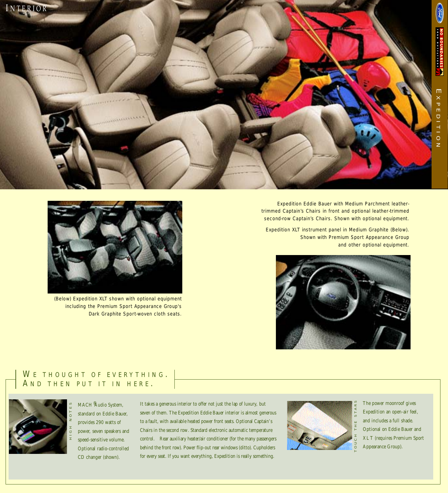<span id="page-4-0"></span>

Expedition Eddie Bauer with Medium Parchment leathertrimmed Captain's Chairs in front and optional leather-trimmed second-row Captain's Chairs. Shown with optional equipment.

Expedition XLT instrument panel in Medium Graphite (Below). Shown with Premium Sport Appearance Group and other optional equipment.





(Below) Expedition XLT shown with optional equipment including the Premium Sport Appearance Group's Dark Graphite Sport-woven cloth seats.

#### WE THOUGHT OF EVERYTHING. AND THEN PUT IT IN HERE.



MACH<sup>®</sup>Audio System, standard on Eddie Bauer, provides 290 watts of power, seven speakers and speed-sensitive volume. Optional radio-controlled CD changer (shown).

It takes a generous interior to offer not just the lap of luxury, but seven of them. The Expedition Eddie Bauer interior is almost generous to a fault, with available heated power front seats. Optional Captain's Chairs in the second row. Standard electronic automatic temperature control. Rear auxiliary heater/air conditioner (for the many passengers behind the front row). Power flip-out rear windows (ditto). Cupholders for every seat. If you want everything, Expedition is really something.



The power moonroof gives Expedition an open-air feel, and includes a full shade. Optional on Eddie Bauer and XL T (requires Premium Sport Appearance Group).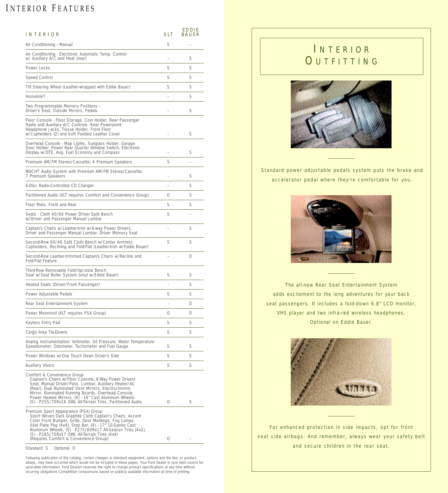# <span id="page-5-0"></span>INTERIOR FEATURES

| INTERIOR                                                                                                                                                                                                                                                                                                                                                                                | XLT | <b>EDDIE</b><br><b>BAUER</b> |
|-----------------------------------------------------------------------------------------------------------------------------------------------------------------------------------------------------------------------------------------------------------------------------------------------------------------------------------------------------------------------------------------|-----|------------------------------|
| Air Conditioning - Manual                                                                                                                                                                                                                                                                                                                                                               | S   |                              |
| Air Conditioning - Electronic Automatic Temp. Control<br>w/ Auxiliary A/C and Heat (rear)                                                                                                                                                                                                                                                                                               |     | S                            |
| Power Locks                                                                                                                                                                                                                                                                                                                                                                             | S   | S                            |
| Speed Control                                                                                                                                                                                                                                                                                                                                                                           | S   | S                            |
| Tilt Steering Wheel (Leather-wrapped with Eddie Bauer)                                                                                                                                                                                                                                                                                                                                  | S   | S                            |
| Homelink <sup>®</sup>                                                                                                                                                                                                                                                                                                                                                                   |     | S                            |
| Two Programmable Memory Positions -<br>Driver's Seat, Outside Mirrors, Pedals                                                                                                                                                                                                                                                                                                           |     | S                            |
| Floor Console - Floor Storage, Coin Holder, Rear Passenger<br>Radio and Auxiliary A/C Controls, Rear Powerpoint<br>Headphone Jacks, Tissue Holder, Front Floor<br>w/Cupholders (2) and Soft Padded Leather Cover                                                                                                                                                                        |     | S                            |
| Overhead Console - Map Lights, Sunglass Holder, Garage<br>Door Holder, Power Rear Quarter Window Switch, Electronic<br>Display w/DTE, Avg. Fuel Economy and Compass                                                                                                                                                                                                                     |     | S                            |
| Premium AM/FM Stereo/Cassette; 4 Premium Speakers                                                                                                                                                                                                                                                                                                                                       | S   |                              |
| MACH <sup>®</sup> Audio System with Premium AM/FM Stereo/Cassette;<br>7 Premium Speakers                                                                                                                                                                                                                                                                                                |     | S                            |
| 6-Disc Radio-Controlled CD Changer                                                                                                                                                                                                                                                                                                                                                      |     | S                            |
| Partitioned Audio (XLT requires Comfort and Convenience Group)                                                                                                                                                                                                                                                                                                                          | Ω   | S                            |
| Floor Mats, Front and Rear                                                                                                                                                                                                                                                                                                                                                              | S   | S                            |
| Seats - Cloth 40/60 Power Driver Split Bench<br>w/Driver and Passenger Manual Lumbar                                                                                                                                                                                                                                                                                                    | S   |                              |
| Captain's Chairs w/Leather-trim w/6-way Power Drivers,<br>Driver and Passenger Manual Lumbar, Driver Memory Seat                                                                                                                                                                                                                                                                        |     | S                            |
| Second Row 60/40 Split Cloth Bench w/Center Armrest,<br>Cupholders, Reclining and Fold-Flat (Leather-trim w/Eddie Bauer)                                                                                                                                                                                                                                                                | S   | S                            |
| Second-Row Leather-trimmed Captain's Chairs w/Recline and<br>Fold-Flat Feature                                                                                                                                                                                                                                                                                                          |     | 0                            |
| Third-Row Removable Fold/tip/stow Bench<br>Seat w/Seat Roller System (vinyl w/Eddie Bauer)                                                                                                                                                                                                                                                                                              | S   | S                            |
| Heated Seats (Driver/Front Passenger)                                                                                                                                                                                                                                                                                                                                                   |     | S                            |
| Power Adjustable Pedals                                                                                                                                                                                                                                                                                                                                                                 | S   | S                            |
| Rear Seat Entertainment System                                                                                                                                                                                                                                                                                                                                                          |     |                              |
| Power Moonroof (XLT requires PSA Group)                                                                                                                                                                                                                                                                                                                                                 | 0   | 0                            |
| Keyless Entry Pad                                                                                                                                                                                                                                                                                                                                                                       | S   | S                            |
| Cargo Area Tie-Downs                                                                                                                                                                                                                                                                                                                                                                    | S   | S                            |
| Analog Instrumentation: Voltmeter, Oil Pressure, Water Temperature<br>Speedometer, Odometer, Tachometer and Fuel Gauge                                                                                                                                                                                                                                                                  | S   | S                            |
| Power Windows w/One Touch Down Driver's Side                                                                                                                                                                                                                                                                                                                                            | S   | S                            |
| Auxiliary Visors                                                                                                                                                                                                                                                                                                                                                                        | S   | S                            |
| Comfort & Convenience Group<br>Captain's Chairs w/Floor Console, 6-Way Power Drivers<br>Seat, Manual Driver/Pass. Lumbar, Auxiliary Heater/AC<br>(Rear), Dual Illuminated Visor Mirrors, Electrochromic<br>Mirror, Illuminated Running Boards, Overhead Console,<br>Power Heated Mirrors, (4) - 16" Cast Aluminum Wheels,<br>(5) - P255/70Rx16 OWL All-Terrain Tires, Partitioned Audio | 0   | S                            |
| Premium Sport Appearance (PSA) Group<br>Sport Woven Dark Graphite Cloth Captain's Chairs, Accent<br>Color Front Bumper, Grille, Door Moldings, Fog Lamps,<br>Skid Plate Pkg (4x4), Step Bar, (4) - 17" 10-Spoke Cast<br>Aluminum Wheels, (5) - P275/60Rx17 All-Season Tires (4x2),<br>(5) - P265/70Rx17 OWL All-Terrain Tires (4x4)<br>(Requires Comfort & Convenience Group)           | 0   |                              |
| Standard S<br>Optional O                                                                                                                                                                                                                                                                                                                                                                |     |                              |

Following publication of the catalog, certain changes in standard equipment, options and the like, or product delays, may have occurred which would not be included in these pages. Your Ford Dealer is your best source for<br>up-to-date information. Ford Division reserves the right to change product specifications at any time without<br>i

# I NTERIOR **OUTFITTING**



Standard power adjustable pedals system puts the brake and accelerator pedal where they're comfortable for you.



The all-new Rear Seat Entertainment System adds excitement to the long adventures for your back seat passengers. It includes a fold-down 6.8" LCD monitor, VHS player and two infra-red wireless headphones. Optional on Eddie Bauer.



For enhanced protection in side impacts, opt for front seat side airbags. And remember, always wear your safety belt and secure children in the rear seat.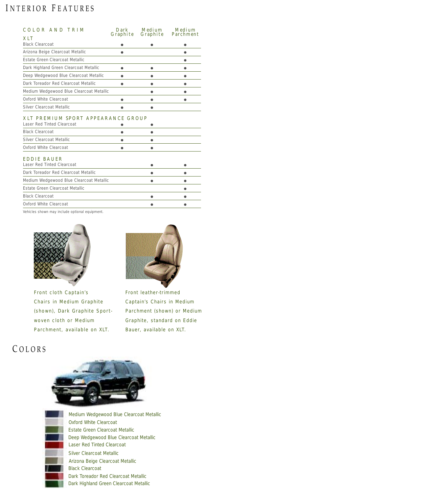## <span id="page-6-0"></span>I NTERIOR F EATURES

| COLOR AND TRIM                                                   | Dark      | Medium   | Medium    |
|------------------------------------------------------------------|-----------|----------|-----------|
| XLT                                                              | Graphite  | Graphite | Parchment |
| <b>Black Clearcoat</b>                                           |           |          |           |
| Arizona Beige Clearcoat Metallic                                 |           |          |           |
| Estate Green Clearcoat Metallic                                  |           |          | ●         |
| Dark Highland Green Clearcoat Metallic                           |           |          |           |
| Deep Wedgewood Blue Clearcoat Metallic                           | $\bullet$ |          |           |
| Dark Toreador Red Clearcoat Metallic                             | ●         |          |           |
| Medium Wedgewood Blue Clearcoat Metallic                         |           |          |           |
| Oxford White Clearcoat                                           | ٠         | ٠        | ●         |
| Silver Clearcoat Metallic                                        |           | æ        |           |
| XLT PREMIUM SPORT APPEARANCE GROUP<br>Laser Red Tinted Clearcoat |           |          |           |
| <b>Black Clearcoat</b>                                           |           |          |           |
| Silver Clearcoat Metallic                                        |           | ●        |           |
| Oxford White Clearcoat                                           |           |          |           |
| EDDIE BAUER<br>Laser Red Tinted Clearcoat                        |           |          |           |
| Dark Toreador Red Clearcoat Metallic                             |           |          |           |
| Medium Wedgewood Blue Clearcoat Metallic                         |           | æ        |           |
| Estate Green Clearcoat Metallic                                  |           |          | a         |
| <b>Black Clearcoat</b>                                           |           |          |           |
| Oxford White Clearcoat                                           |           |          |           |

Vehicles shown may include optional equipment.



Front cloth Captain's Chairs in Medium Graphite (shown), Dark Graphite Sportwoven cloth or Medium Parchment, available on XLT.



Front leather-trimmed Captain's Chairs in Medium Parchment (shown) or Medium Graphite, standard on Eddie Bauer, available on XLT.

# C OLORS





Laser Red Tinted Clearcoat Estate Green Clearcoat Metallic Black Clearcoat Silver Clearcoat Metallic Arizona Beige Clearcoat Metallic Deep Wedgewood Blue Clearcoat Metallic Oxford White Clearcoat Dark Toreador Red Clearcoat Metallic Dark Highland Green Clearcoat Metallic Medium Wedgewood Blue Clearcoat Metallic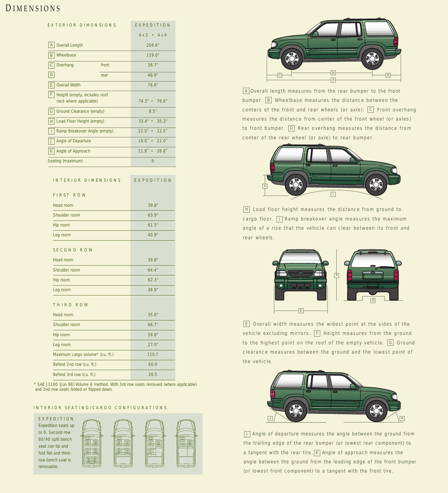## <span id="page-7-0"></span>D IMENSIONS

| EXTERIOR DIMENSIONS                                         |       | EXPEDITION                                                       |  |
|-------------------------------------------------------------|-------|------------------------------------------------------------------|--|
|                                                             |       | $4 \times 2$ • $4 \times 4$                                      |  |
| A<br><b>Overall Length</b>                                  |       | 204.6"                                                           |  |
| Wheelbase<br>B                                              |       | 119.0"                                                           |  |
| $\mathsf C$<br>Overhang                                     | front | 38.7"                                                            |  |
| D                                                           | rear  | 46.9"                                                            |  |
| E<br><b>Overall Width</b>                                   |       | 78.6"                                                            |  |
| F<br>Height (empty, includes roof<br>rack where applicable) |       | 74.3" • 76.6"                                                    |  |
| $\mathsf{G}$<br>Ground Clearance (empty)                    |       | 8.5"                                                             |  |
| H <br>Load Floor Height (empty)                             |       | $33.4" \cdot 35.3"$                                              |  |
| Ramp Breakover Angle (empty)<br>T                           |       | $22.0$ $\cdot$<br>$22.5^{\circ}$                                 |  |
| J<br>Angle of Departure                                     |       | $19.0 \cdot 21.0$                                                |  |
| K<br>Angle of Approach                                      |       | $21.8$ $\cdot$ $26.8$                                            |  |
| Seating (maximum)                                           |       | 9                                                                |  |
|                                                             |       |                                                                  |  |
| INTERIOR DIMENSIONS                                         |       | EXPEDITION                                                       |  |
| FIRST ROW                                                   |       |                                                                  |  |
| Head room                                                   |       | 39.8"                                                            |  |
| Shoulder room                                               |       | 63.9"                                                            |  |
| Hip room                                                    |       | 61.5"                                                            |  |
| Leg room                                                    |       | 40.9"                                                            |  |
| SECOND ROW                                                  |       |                                                                  |  |
| Head room                                                   |       | 39.8"                                                            |  |
| Shoulder room                                               |       | 64.4"                                                            |  |
| Hip room                                                    |       | 62.3"                                                            |  |
| Leg room                                                    |       | 38.9"                                                            |  |
| THIRD ROW                                                   |       |                                                                  |  |
| Head room                                                   |       | 35.0"                                                            |  |
| Shoulder room                                               |       | 66.7"                                                            |  |
| Hip room                                                    |       |                                                                  |  |
| Leg room                                                    |       |                                                                  |  |
| Maximum cargo volume* (cu. ft.)                             |       | 110.7                                                            |  |
| Behind 2nd row (cu. ft.)                                    |       | 60.9                                                             |  |
| Behind 3rd row (cu. ft.)                                    |       | 20.5                                                             |  |
|                                                             |       | 11100 (Jun 98) Volume 6 method With 3rd row seats removed (where |  |

\* SAE J1100 (Jun 98) Volume 6 method. With 3rd row seats removed (where applicable) and 2nd row seats folded or flipped down.

#### INTERIOR SEATING/CARGO CONFIGURATIONS





A|Overall length measures from the rear bumper to the front bumper. |B| Wheelbase measures the distance between the centers of the front and rear wheels (or axle).  $|{\tt C}|$  Front overhang measures the distance from center of the front wheel (or axles) to front bumper.  $\mathsf{D}\mathsf{I}\,$  Rear overhang measures the distance from center of the rear wheel (or axle) to rear bumper.



Load floor height measures the distance from ground to H cargo floor. | || Ramp breakover angle measures the maximum angle of a rise that the vehicle can clear between its front and rear wheels.



 $E$  Overall width measures the widest point at the sides of the vehicle excluding mirrors.  $\lvert \mathsf{F} \rvert$  Height measures from the ground to the highest point on the roof of the empty vehicle.  $\lvert \mathsf{G} \rvert$  Ground clearance measures between the ground and the lowest point of the vehicle.



 $\overline{\mathsf{J}}$  Angle of departure measures the angle between the ground from the trailing edge of the rear bumper (or lowest rear component) to a tangent with the rear tire.  $\kappa$  Angle of approach measures the angle between the ground from the leading edge of the front bumper (or lowest front component) to a tangent with the front tire.